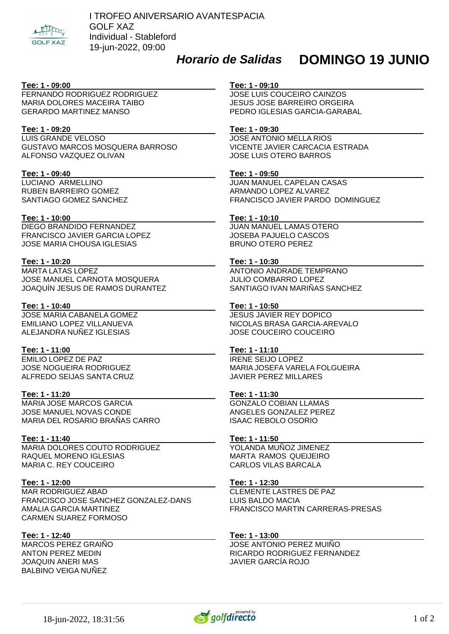

## *Horario de Salidas*

# **DOMINGO 19 JUNIO**

## **Tee: 1 - 09:00**

FERNANDO RODRIGUEZ RODRIGUEZ MARIA DOLORES MACEIRA TAIBO GERARDO MARTINEZ MANSO

## **Tee: 1 - 09:20**

LUIS GRANDE VELOSO GUSTAVO MARCOS MOSQUERA BARROSO ALFONSO VAZQUEZ OLIVAN

## **Tee: 1 - 09:40**

LUCIANO ARMELLINO RUBEN BARREIRO GOMEZ SANTIAGO GOMEZ SANCHEZ

## **Tee: 1 - 10:00**

DIEGO BRANDIDO FERNANDEZ FRANCISCO JAVIER GARCIA LOPEZ JOSE MARIA CHOUSA IGLESIAS

#### **Tee: 1 - 10:20**

MARTA LATAS LOPEZ JOSE MANUEL CARNOTA MOSQUERA JOAQUÍN JESUS DE RAMOS DURANTEZ

#### **Tee: 1 - 10:40**

JOSE MARIA CABANELA GOMEZ EMILIANO LOPEZ VILLANUEVA ALEJANDRA NUÑEZ IGLESIAS

## **Tee: 1 - 11:00**

EMILIO LOPEZ DE PAZ JOSE NOGUEIRA RODRIGUEZ ALFREDO SEIJAS SANTA CRUZ

## **Tee: 1 - 11:20**

MARIA JOSE MARCOS GARCIA JOSE MANUEL NOVAS CONDE MARIA DEL ROSARIO BRAÑAS CARRO

## **Tee: 1 - 11:40**

MARIA DOLORES COUTO RODRIGUEZ RAQUEL MORENO IGLESIAS MARIA C. REY COUCEIRO

## **Tee: 1 - 12:00**

MAR RODRIGUEZ ABAD FRANCISCO JOSE SANCHEZ GONZALEZ-DANS AMALIA GARCIA MARTINEZ CARMEN SUAREZ FORMOSO

## **Tee: 1 - 12:40**

MARCOS PEREZ GRAIÑO ANTON PEREZ MEDIN JOAQUIN ANERI MAS BALBINO VEIGA NUÑEZ

#### **Tee: 1 - 09:10**

JOSE LUIS COUCEIRO CAINZOS JESUS JOSE BARREIRO ORGEIRA PEDRO IGLESIAS GARCIA-GARABAL

#### **Tee: 1 - 09:30**

JOSE ANTONIO MELLA RIOS VICENTE JAVIER CARCACIA ESTRADA JOSE LUIS OTERO BARROS

#### **Tee: 1 - 09:50**

JUAN MANUEL CAPELAN CASAS ARMANDO LOPEZ ALVAREZ FRANCISCO JAVIER PARDO DOMINGUEZ

#### **Tee: 1 - 10:10**

JUAN MANUEL LAMAS OTERO JOSEBA PAJUELO CASCOS BRUNO OTERO PEREZ

#### **Tee: 1 - 10:30**

ANTONIO ANDRADE TEMPRANO JULIO COMBARRO LOPEZ SANTIAGO IVAN MARIÑAS SANCHEZ

## **Tee: 1 - 10:50**

JESUS JAVIER REY DOPICO NICOLAS BRASA GARCIA-AREVALO JOSE COUCEIRO COUCEIRO

## **Tee: 1 - 11:10**

IRENE SEIJO LOPEZ MARIA JOSEFA VARELA FOLGUEIRA JAVIER PEREZ MILLARES

#### **Tee: 1 - 11:30**

GONZALO COBIAN LLAMAS ANGELES GONZALEZ PEREZ ISAAC REBOLO OSORIO

#### **Tee: 1 - 11:50**

YOLANDA MUÑOZ JIMENEZ MARTA RAMOS QUEIJEIRO CARLOS VILAS BARCALA

## **Tee: 1 - 12:30**

CLEMENTE LASTRES DE PAZ LUIS BALDO MACIA FRANCISCO MARTIN CARRERAS-PRESAS

#### **Tee: 1 - 13:00**

JOSE ANTONIO PEREZ MUIÑO RICARDO RODRIGUEZ FERNANDEZ JAVIER GARCÍA ROJO